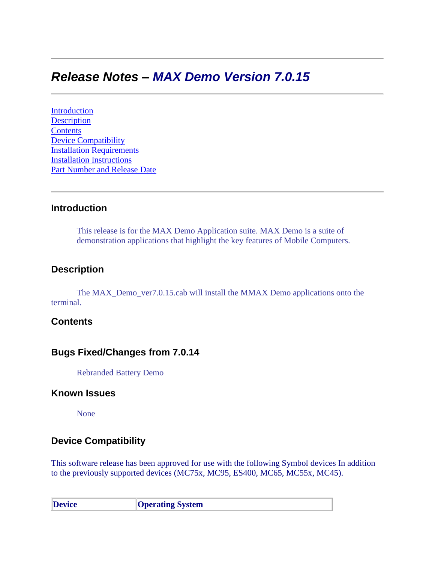# *Release Notes – MAX Demo Version 7.0.15*

[Introduction](#page-0-0) **[Description](#page-0-1) [Contents](#page-0-2)** [Device Compatibility](#page-0-3) [Installation Requirements](#page-1-0) [Installation Instructions](#page-1-1) Part Number and Release Date

## <span id="page-0-0"></span>**Introduction**

This release is for the MAX Demo Application suite. MAX Demo is a suite of demonstration applications that highlight the key features of Mobile Computers.

#### <span id="page-0-1"></span>**Description**

The MAX\_Demo\_ver7.0.15.cab will install the MMAX Demo applications onto the terminal.

## <span id="page-0-2"></span>**Contents**

## **Bugs Fixed/Changes from 7.0.14**

Rebranded Battery Demo

#### **Known Issues**

None

## <span id="page-0-3"></span>**Device Compatibility**

This software release has been approved for use with the following Symbol devices In addition to the previously supported devices (MC75x, MC95, ES400, MC65, MC55x, MC45).

| <b>Device</b> | <b>Operating System</b> |
|---------------|-------------------------|
|---------------|-------------------------|